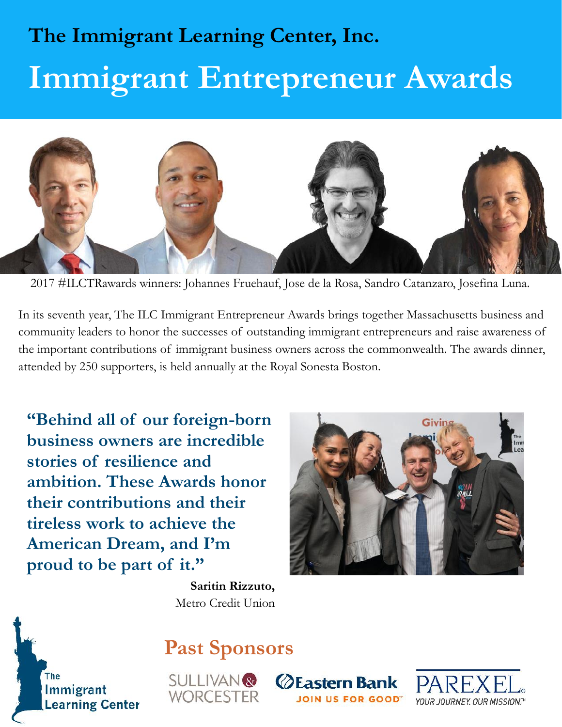# **The Immigrant Learning Center, Inc. Immigrant Entrepreneur Awards**



2017 #ILCTRawards winners: Johannes Fruehauf, Jose de la Rosa, Sandro Catanzaro, Josefina Luna.

The HIC Immigrant Entrepreneur Awards brinds to the successes of outstanding immigrate important contributions of immigrant business owners across tended by 250 supporters, is held annually at the Royal Sonesta I <br> **"Behin** In its seventh year, The ILC Immigrant Entrepreneur Awards brings together Massachusetts business and community leaders to honor the successes of outstanding immigrant entrepreneurs and raise awareness and community leaders to honor the successes of outstanding immigrant entrepreneurs and raise awareness of the important c 2017 #ILCTRawards winners: Johannes Fruehauf, Jose de la Rosa, Sandro Catanzaro, Josefina Luna.<br>In its seventh year, The ILC Immigrant Entrepreneur Awards brings together Massachusetts business and<br>community leaders to hon attended by 250 supporters, is held annually at the Royal Sonesta Boston.

**business owners are incredible stories of resilience and ambition. These Awards honor their contributions and their tireless work to achieve the American Dream, and I'm** stories of resilience and<br>
ambition. These Awards honor<br>
their contributions and their<br>
tireless work to achieve the<br>
American Dream, and I'm<br>
proud to be part of it."<br>
Saritin Rizzuto,<br>
Metro Credit Union



**Saritin Rizzuto,** Metro Credit Union



## **Past Sponsors**



**⊘Eastern Bank DIN US FOR GOOD**